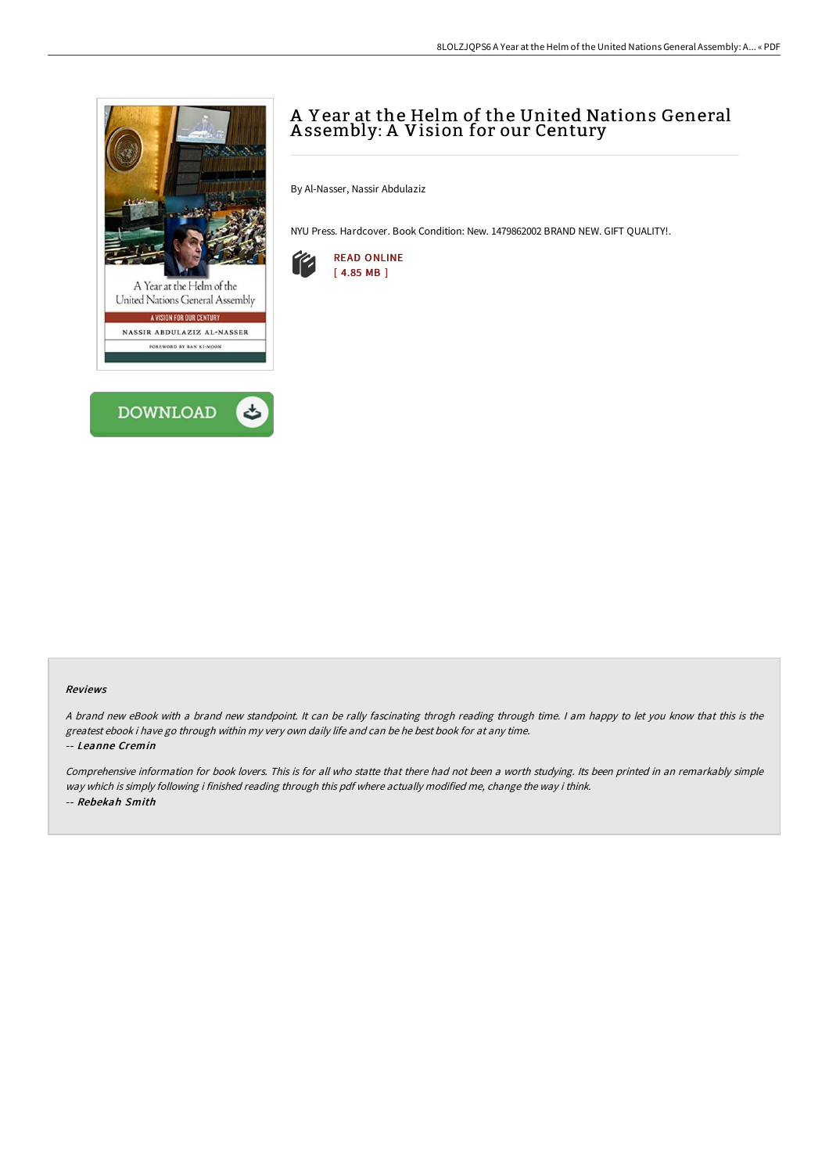



# A Y ear at the Helm of the United Nations General A ssembly: A Vision for our Century

By Al-Nasser, Nassir Abdulaziz

NYU Press. Hardcover. Book Condition: New. 1479862002 BRAND NEW. GIFT QUALITY!.



#### Reviews

A brand new eBook with a brand new standpoint. It can be rally fascinating throgh reading through time. I am happy to let you know that this is the greatest ebook i have go through within my very own daily life and can be he best book for at any time. -- Leanne Cremin

Comprehensive information for book lovers. This is for all who statte that there had not been <sup>a</sup> worth studying. Its been printed in an remarkably simple way which is simply following i finished reading through this pdf where actually modified me, change the way i think. -- Rebekah Smith